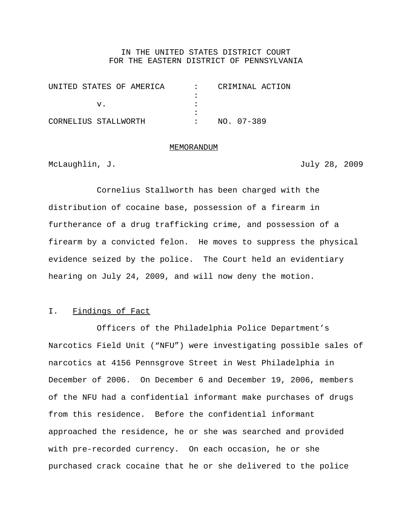## IN THE UNITED STATES DISTRICT COURT FOR THE EASTERN DISTRICT OF PENNSYLVANIA

| UNITED STATES OF AMERICA |  | CRIMINAL ACTION |  |
|--------------------------|--|-----------------|--|
|                          |  |                 |  |
|                          |  |                 |  |
|                          |  |                 |  |
| CORNELIUS STALLWORTH     |  | NO. 07-389      |  |

#### MEMORANDUM

McLaughlin, J.  $J$ .

Cornelius Stallworth has been charged with the distribution of cocaine base, possession of a firearm in furtherance of a drug trafficking crime, and possession of a firearm by a convicted felon. He moves to suppress the physical evidence seized by the police. The Court held an evidentiary hearing on July 24, 2009, and will now deny the motion.

### I. Findings of Fact

Officers of the Philadelphia Police Department's Narcotics Field Unit ("NFU") were investigating possible sales of narcotics at 4156 Pennsgrove Street in West Philadelphia in December of 2006. On December 6 and December 19, 2006, members of the NFU had a confidential informant make purchases of drugs from this residence. Before the confidential informant approached the residence, he or she was searched and provided with pre-recorded currency. On each occasion, he or she purchased crack cocaine that he or she delivered to the police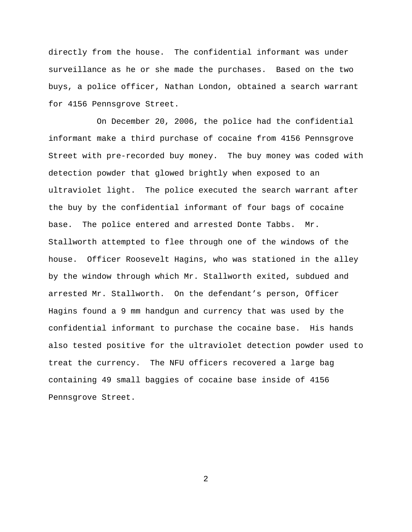directly from the house. The confidential informant was under surveillance as he or she made the purchases. Based on the two buys, a police officer, Nathan London, obtained a search warrant for 4156 Pennsgrove Street.

On December 20, 2006, the police had the confidential informant make a third purchase of cocaine from 4156 Pennsgrove Street with pre-recorded buy money. The buy money was coded with detection powder that glowed brightly when exposed to an ultraviolet light. The police executed the search warrant after the buy by the confidential informant of four bags of cocaine base. The police entered and arrested Donte Tabbs. Mr. Stallworth attempted to flee through one of the windows of the house. Officer Roosevelt Hagins, who was stationed in the alley by the window through which Mr. Stallworth exited, subdued and arrested Mr. Stallworth. On the defendant's person, Officer Hagins found a 9 mm handgun and currency that was used by the confidential informant to purchase the cocaine base. His hands also tested positive for the ultraviolet detection powder used to treat the currency. The NFU officers recovered a large bag containing 49 small baggies of cocaine base inside of 4156 Pennsgrove Street.

2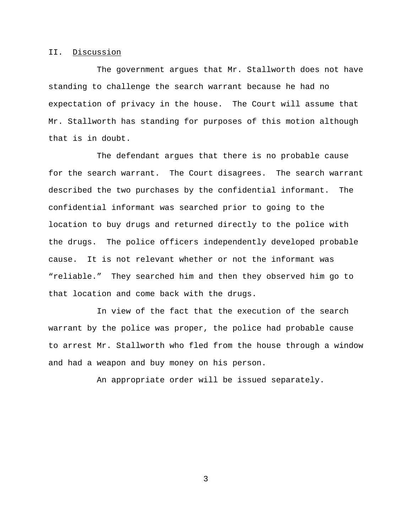## II. Discussion

The government argues that Mr. Stallworth does not have standing to challenge the search warrant because he had no expectation of privacy in the house. The Court will assume that Mr. Stallworth has standing for purposes of this motion although that is in doubt.

The defendant argues that there is no probable cause for the search warrant. The Court disagrees. The search warrant described the two purchases by the confidential informant. The confidential informant was searched prior to going to the location to buy drugs and returned directly to the police with the drugs. The police officers independently developed probable cause. It is not relevant whether or not the informant was "reliable." They searched him and then they observed him go to that location and come back with the drugs.

In view of the fact that the execution of the search warrant by the police was proper, the police had probable cause to arrest Mr. Stallworth who fled from the house through a window and had a weapon and buy money on his person.

An appropriate order will be issued separately.

3